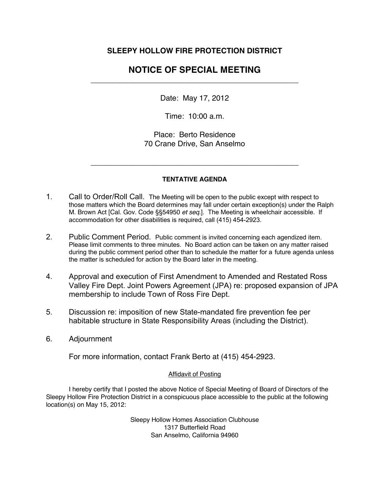## **SLEEPY HOLLOW FIRE PROTECTION DISTRICT**

## **NOTICE OF SPECIAL MEETING**  \_\_\_\_\_\_\_\_\_\_\_\_\_\_\_\_\_\_\_\_\_\_\_\_\_\_\_\_\_\_\_\_\_\_\_\_\_\_\_\_\_\_\_\_\_\_\_\_\_

Date: May 17, 2012

Time: 10:00 a.m.

Place: Berto Residence 70 Crane Drive, San Anselmo

## **TENTATIVE AGENDA**

\_\_\_\_\_\_\_\_\_\_\_\_\_\_\_\_\_\_\_\_\_\_\_\_\_\_\_\_\_\_\_\_\_\_\_\_\_\_\_\_\_\_\_\_\_\_\_\_\_

- 1. Call to Order/Roll Call. The Meeting will be open to the public except with respect to those matters which the Board determines may fall under certain exception(s) under the Ralph M. Brown Act [Cal. Gov. Code §§54950 *et seq*.]. The Meeting is wheelchair accessible. If accommodation for other disabilities is required, call (415) 454-2923.
- 2. Public Comment Period. Public comment is invited concerning each agendized item. Please limit comments to three minutes. No Board action can be taken on any matter raised during the public comment period other than to schedule the matter for a future agenda unless the matter is scheduled for action by the Board later in the meeting.
- 4. Approval and execution of First Amendment to Amended and Restated Ross Valley Fire Dept. Joint Powers Agreement (JPA) re: proposed expansion of JPA membership to include Town of Ross Fire Dept.
- 5. Discussion re: imposition of new State-mandated fire prevention fee per habitable structure in State Responsibility Areas (including the District).
- 6. Adjournment

For more information, contact Frank Berto at (415) 454-2923.

## **Affidavit of Posting**

I hereby certify that I posted the above Notice of Special Meeting of Board of Directors of the Sleepy Hollow Fire Protection District in a conspicuous place accessible to the public at the following location(s) on May 15, 2012:

> Sleepy Hollow Homes Association Clubhouse 1317 Butterfield Road San Anselmo, California 94960